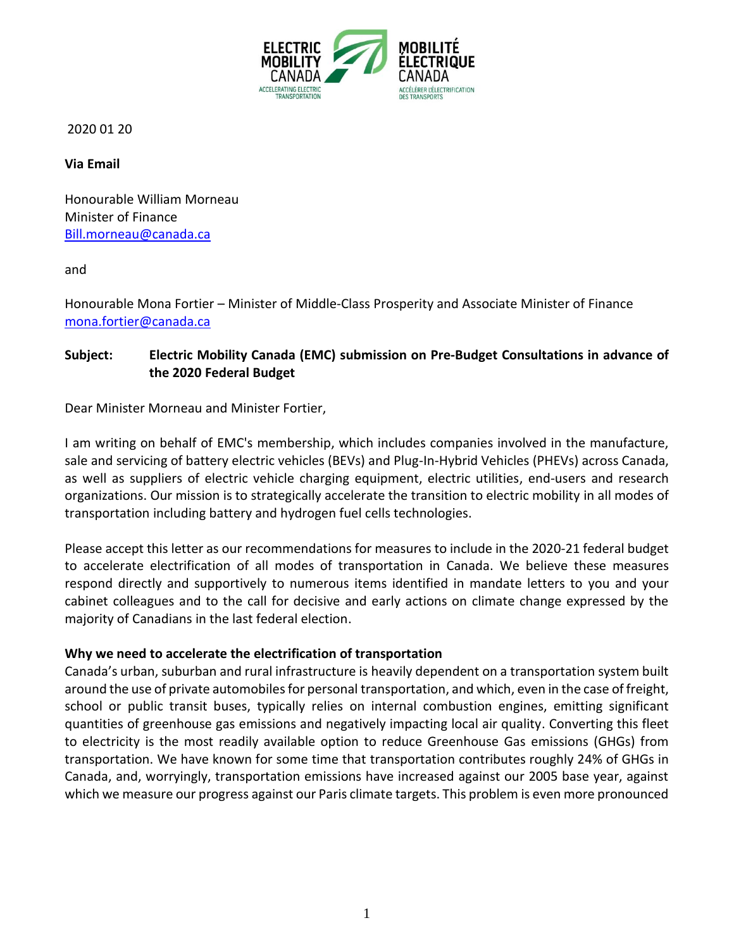

2020 01 20

**Via Email**

Honourable William Morneau Minister of Finance [Bill.morneau@canada.ca](mailto:Bill.morneau@canada.ca)

and

Honourable Mona Fortier – Minister of Middle-Class Prosperity and Associate Minister of Finance [mona.fortier@canada.ca](mailto:mona.fortier@canada.ca)

### **Subject: Electric Mobility Canada (EMC) submission on Pre-Budget Consultations in advance of the 2020 Federal Budget**

Dear Minister Morneau and Minister Fortier,

I am writing on behalf of EMC's membership, which includes companies involved in the manufacture, sale and servicing of battery electric vehicles (BEVs) and Plug-In-Hybrid Vehicles (PHEVs) across Canada, as well as suppliers of electric vehicle charging equipment, electric utilities, end-users and research organizations. Our mission is to strategically accelerate the transition to electric mobility in all modes of transportation including battery and hydrogen fuel cells technologies.

Please accept this letter as our recommendations for measures to include in the 2020-21 federal budget to accelerate electrification of all modes of transportation in Canada. We believe these measures respond directly and supportively to numerous items identified in mandate letters to you and your cabinet colleagues and to the call for decisive and early actions on climate change expressed by the majority of Canadians in the last federal election.

#### **Why we need to accelerate the electrification of transportation**

Canada's urban, suburban and rural infrastructure is heavily dependent on a transportation system built around the use of private automobiles for personal transportation, and which, even in the case of freight, school or public transit buses, typically relies on internal combustion engines, emitting significant quantities of greenhouse gas emissions and negatively impacting local air quality. Converting this fleet to electricity is the most readily available option to reduce Greenhouse Gas emissions (GHGs) from transportation. We have known for some time that transportation contributes roughly 24% of GHGs in Canada, and, worryingly, transportation emissions have increased against our 2005 base year, against which we measure our progress against our Paris climate targets. This problem is even more pronounced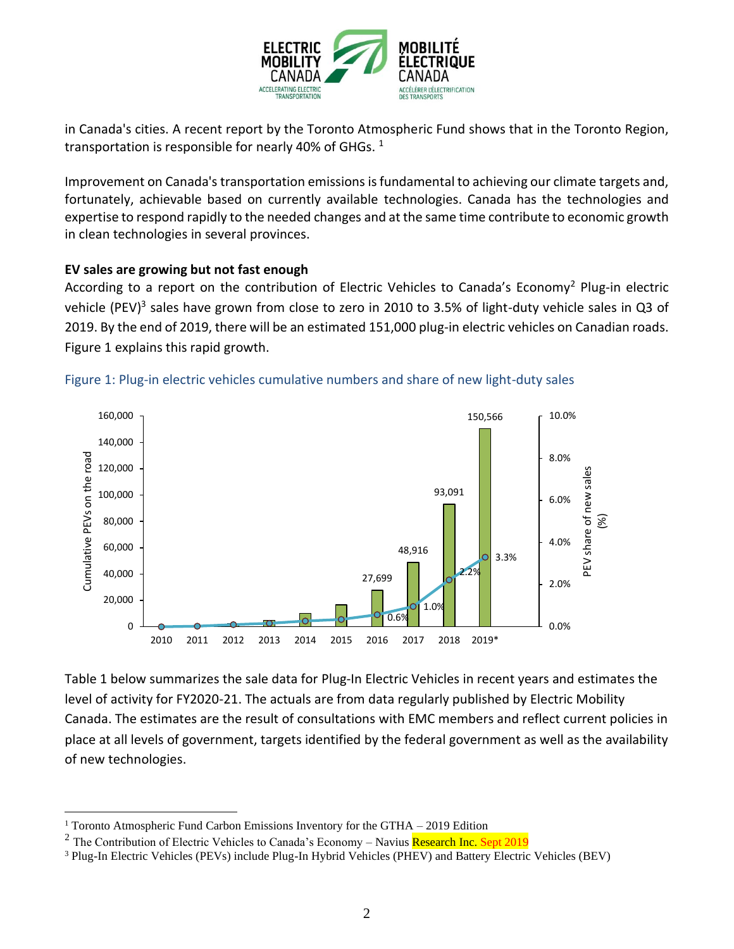

in Canada's cities. A recent report by the Toronto Atmospheric Fund shows that in the Toronto Region, transportation is responsible for nearly 40% of GHGs.  $1$ 

Improvement on Canada's transportation emissions is fundamental to achieving our climate targets and, fortunately, achievable based on currently available technologies. Canada has the technologies and expertise to respond rapidly to the needed changes and at the same time contribute to economic growth in clean technologies in several provinces.

### **EV sales are growing but not fast enough**

According to a report on the contribution of Electric Vehicles to Canada's Economy<sup>2</sup> Plug-in electric vehicle (PEV)<sup>3</sup> sales have grown from close to zero in 2010 to 3.5% of light-duty vehicle sales in Q3 of 2019. By the end of 2019, there will be an estimated 151,000 plug-in electric vehicles on Canadian roads. Figure 1 explains this rapid growth.





Table 1 below summarizes the sale data for Plug-In Electric Vehicles in recent years and estimates the level of activity for FY2020-21. The actuals are from data regularly published by Electric Mobility Canada. The estimates are the result of consultations with EMC members and reflect current policies in place at all levels of government, targets identified by the federal government as well as the availability of new technologies.

<sup>&</sup>lt;sup>1</sup> Toronto Atmospheric Fund Carbon Emissions Inventory for the GTHA – 2019 Edition

<sup>&</sup>lt;sup>2</sup> The Contribution of Electric Vehicles to Canada's Economy – Navius Research Inc. Sept 2019

<sup>3</sup> Plug-In Electric Vehicles (PEVs) include Plug-In Hybrid Vehicles (PHEV) and Battery Electric Vehicles (BEV)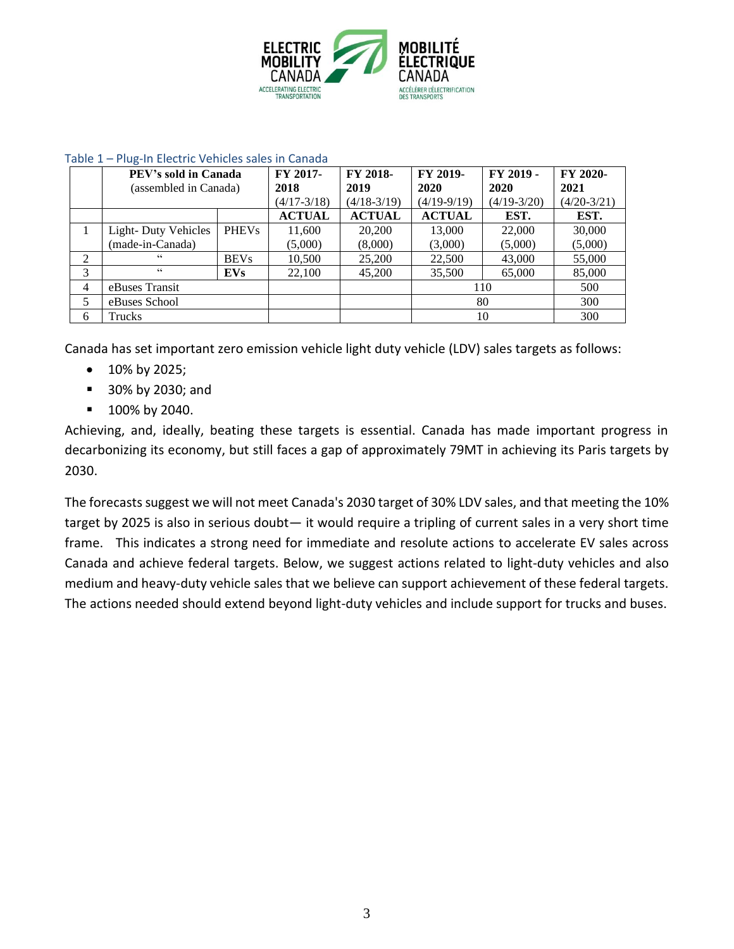

|                | PEV's sold in Canada       |              | FY 2017-        | FY 2018-      | FY 2019-      | FY 2019 -     | FY 2020-      |
|----------------|----------------------------|--------------|-----------------|---------------|---------------|---------------|---------------|
|                | (assembled in Canada)      |              | 2018            | 2019          | 2020          | 2020          | 2021          |
|                |                            |              | $(4/17 - 3/18)$ | $(4/18-3/19)$ | $(4/19-9/19)$ | $(4/19-3/20)$ | $(4/20-3/21)$ |
|                |                            |              | <b>ACTUAL</b>   | <b>ACTUAL</b> | <b>ACTUAL</b> | EST.          | EST.          |
| 1              | <b>Light-Duty Vehicles</b> | <b>PHEVs</b> | 11,600          | 20,200        | 13,000        | 22,000        | 30,000        |
|                | (made-in-Canada)           |              | (5,000)         | (8,000)       | (3,000)       | (5,000)       | (5,000)       |
| $\overline{2}$ | 66                         | <b>BEVs</b>  | 10,500          | 25,200        | 22,500        | 43,000        | 55,000        |
| 3              | $\epsilon$ $\epsilon$      | <b>EVs</b>   | 22,100          | 45,200        | 35,500        | 65,000        | 85,000        |
| 4              | eBuses Transit             |              |                 |               | 110           |               | 500           |
| 5              | eBuses School              |              |                 |               | 80            |               | 300           |
| 6              | Trucks                     |              |                 |               | 10            |               | 300           |

#### Table 1 – Plug-In Electric Vehicles sales in Canada

Canada has set important zero emission vehicle light duty vehicle (LDV) sales targets as follows:

- 10% by 2025;
- 30% by 2030; and
- 100% by 2040.

Achieving, and, ideally, beating these targets is essential. Canada has made important progress in decarbonizing its economy, but still faces a gap of approximately 79MT in achieving its Paris targets by 2030.

The forecasts suggest we will not meet Canada's 2030 target of 30% LDV sales, and that meeting the 10% target by 2025 is also in serious doubt— it would require a tripling of current sales in a very short time frame. This indicates a strong need for immediate and resolute actions to accelerate EV sales across Canada and achieve federal targets. Below, we suggest actions related to light-duty vehicles and also medium and heavy-duty vehicle sales that we believe can support achievement of these federal targets. The actions needed should extend beyond light-duty vehicles and include support for trucks and buses.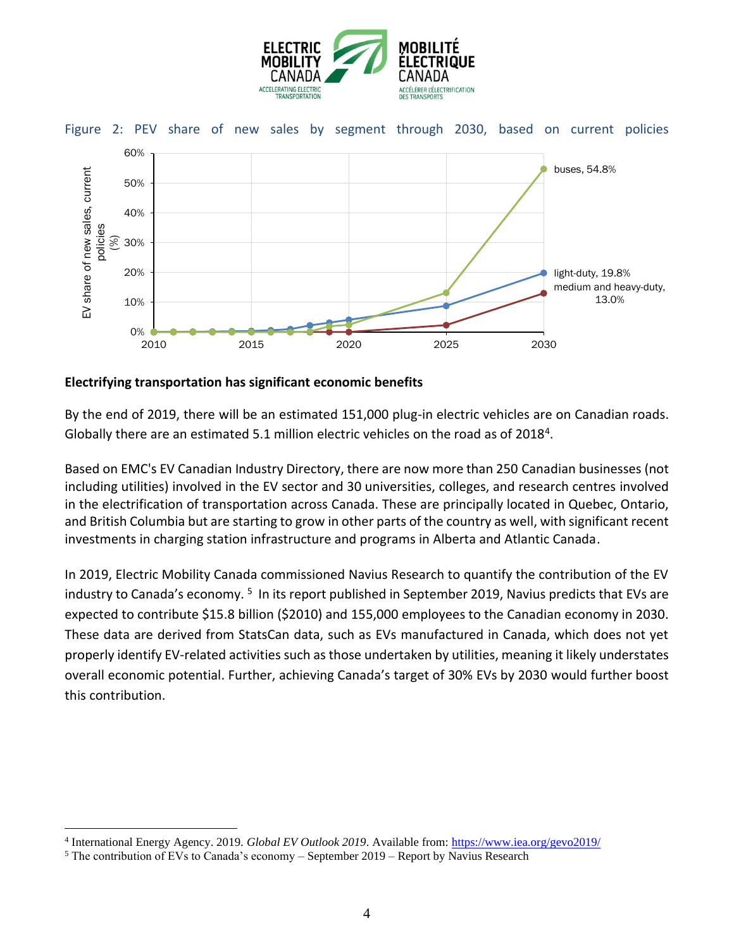



### **Electrifying transportation has significant economic benefits**

By the end of 2019, there will be an estimated 151,000 plug-in electric vehicles are on Canadian roads. Globally there are an estimated 5.1 million electric vehicles on the road as of 2018<sup>4</sup>.

Based on EMC's EV Canadian Industry Directory, there are now more than 250 Canadian businesses (not including utilities) involved in the EV sector and 30 universities, colleges, and research centres involved in the electrification of transportation across Canada. These are principally located in Quebec, Ontario, and British Columbia but are starting to grow in other parts of the country as well, with significant recent investments in charging station infrastructure and programs in Alberta and Atlantic Canada.

In 2019, Electric Mobility Canada commissioned Navius Research to quantify the contribution of the EV industry to Canada's economy. <sup>5</sup> In its report published in September 2019, Navius predicts that EVs are expected to contribute \$15.8 billion (\$2010) and 155,000 employees to the Canadian economy in 2030. These data are derived from StatsCan data, such as EVs manufactured in Canada, which does not yet properly identify EV-related activities such as those undertaken by utilities, meaning it likely understates overall economic potential. Further, achieving Canada's target of 30% EVs by 2030 would further boost this contribution.

<sup>4</sup> International Energy Agency. 2019. *Global EV Outlook 2019*. Available from[: https://www.iea.org/gevo2019/](https://www.iea.org/gevo2019/)

 $5$  The contribution of EVs to Canada's economy – September 2019 – Report by Navius Research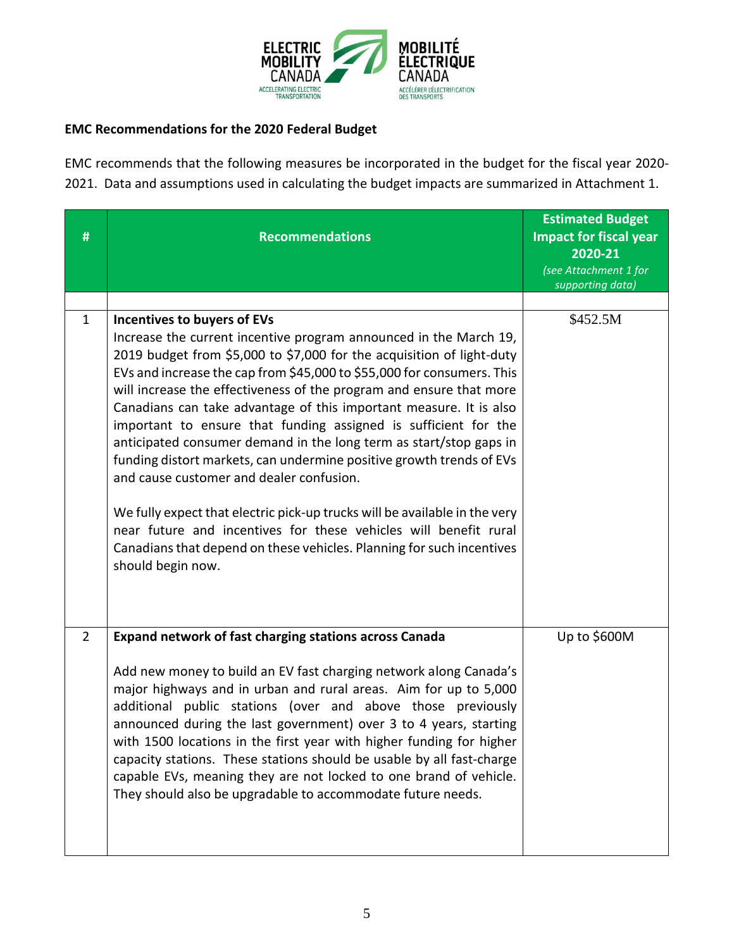

## **EMC Recommendations for the 2020 Federal Budget**

EMC recommends that the following measures be incorporated in the budget for the fiscal year 2020- 2021. Data and assumptions used in calculating the budget impacts are summarized in Attachment 1.

| #              | <b>Recommendations</b>                                                                                                                                                                                                                                                                                                                                                                                                                                                                                                                                                                                                                                                                                                                                                                                                                                                                                        | <b>Estimated Budget</b><br><b>Impact for fiscal year</b><br>2020-21<br>(see Attachment 1 for<br>supporting data) |
|----------------|---------------------------------------------------------------------------------------------------------------------------------------------------------------------------------------------------------------------------------------------------------------------------------------------------------------------------------------------------------------------------------------------------------------------------------------------------------------------------------------------------------------------------------------------------------------------------------------------------------------------------------------------------------------------------------------------------------------------------------------------------------------------------------------------------------------------------------------------------------------------------------------------------------------|------------------------------------------------------------------------------------------------------------------|
|                |                                                                                                                                                                                                                                                                                                                                                                                                                                                                                                                                                                                                                                                                                                                                                                                                                                                                                                               |                                                                                                                  |
| 1              | Incentives to buyers of EVs<br>Increase the current incentive program announced in the March 19,<br>2019 budget from \$5,000 to \$7,000 for the acquisition of light-duty<br>EVs and increase the cap from \$45,000 to \$55,000 for consumers. This<br>will increase the effectiveness of the program and ensure that more<br>Canadians can take advantage of this important measure. It is also<br>important to ensure that funding assigned is sufficient for the<br>anticipated consumer demand in the long term as start/stop gaps in<br>funding distort markets, can undermine positive growth trends of EVs<br>and cause customer and dealer confusion.<br>We fully expect that electric pick-up trucks will be available in the very<br>near future and incentives for these vehicles will benefit rural<br>Canadians that depend on these vehicles. Planning for such incentives<br>should begin now. | \$452.5M                                                                                                         |
| $\overline{2}$ | <b>Expand network of fast charging stations across Canada</b><br>Add new money to build an EV fast charging network along Canada's<br>major highways and in urban and rural areas. Aim for up to 5,000<br>additional public stations (over and above those previously<br>announced during the last government) over 3 to 4 years, starting<br>with 1500 locations in the first year with higher funding for higher<br>capacity stations. These stations should be usable by all fast-charge<br>capable EVs, meaning they are not locked to one brand of vehicle.<br>They should also be upgradable to accommodate future needs.                                                                                                                                                                                                                                                                               | Up to \$600M                                                                                                     |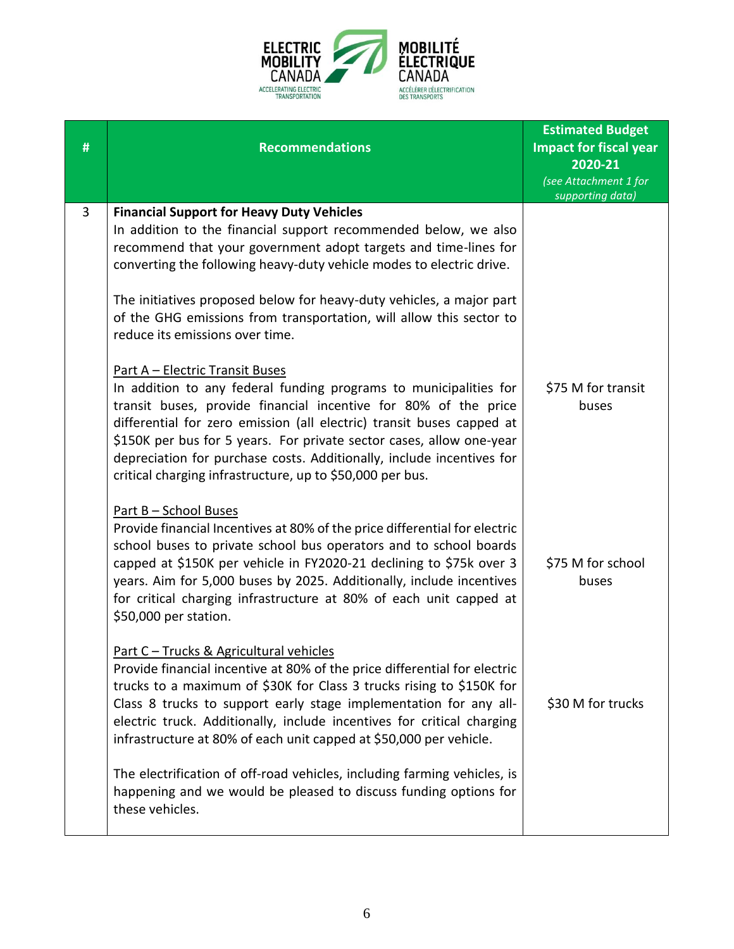

| # | <b>Recommendations</b>                                                                                                                                                                                                                                                                                                                                                                                                                                                | <b>Estimated Budget</b><br><b>Impact for fiscal year</b><br>2020-21<br>(see Attachment 1 for<br>supporting data) |
|---|-----------------------------------------------------------------------------------------------------------------------------------------------------------------------------------------------------------------------------------------------------------------------------------------------------------------------------------------------------------------------------------------------------------------------------------------------------------------------|------------------------------------------------------------------------------------------------------------------|
| 3 | <b>Financial Support for Heavy Duty Vehicles</b><br>In addition to the financial support recommended below, we also<br>recommend that your government adopt targets and time-lines for<br>converting the following heavy-duty vehicle modes to electric drive.<br>The initiatives proposed below for heavy-duty vehicles, a major part<br>of the GHG emissions from transportation, will allow this sector to<br>reduce its emissions over time.                      |                                                                                                                  |
|   | <b>Part A - Electric Transit Buses</b><br>In addition to any federal funding programs to municipalities for<br>transit buses, provide financial incentive for 80% of the price<br>differential for zero emission (all electric) transit buses capped at<br>\$150K per bus for 5 years. For private sector cases, allow one-year<br>depreciation for purchase costs. Additionally, include incentives for<br>critical charging infrastructure, up to \$50,000 per bus. | \$75 M for transit<br>buses                                                                                      |
|   | <u>Part B - School Buses</u><br>Provide financial Incentives at 80% of the price differential for electric<br>school buses to private school bus operators and to school boards<br>capped at \$150K per vehicle in FY2020-21 declining to \$75k over 3<br>years. Aim for 5,000 buses by 2025. Additionally, include incentives<br>for critical charging infrastructure at 80% of each unit capped at<br>\$50,000 per station.                                         | \$75 M for school<br>buses                                                                                       |
|   | Part C - Trucks & Agricultural vehicles<br>Provide financial incentive at 80% of the price differential for electric<br>trucks to a maximum of \$30K for Class 3 trucks rising to \$150K for<br>Class 8 trucks to support early stage implementation for any all-<br>electric truck. Additionally, include incentives for critical charging<br>infrastructure at 80% of each unit capped at \$50,000 per vehicle.                                                     | \$30 M for trucks                                                                                                |
|   | The electrification of off-road vehicles, including farming vehicles, is<br>happening and we would be pleased to discuss funding options for<br>these vehicles.                                                                                                                                                                                                                                                                                                       |                                                                                                                  |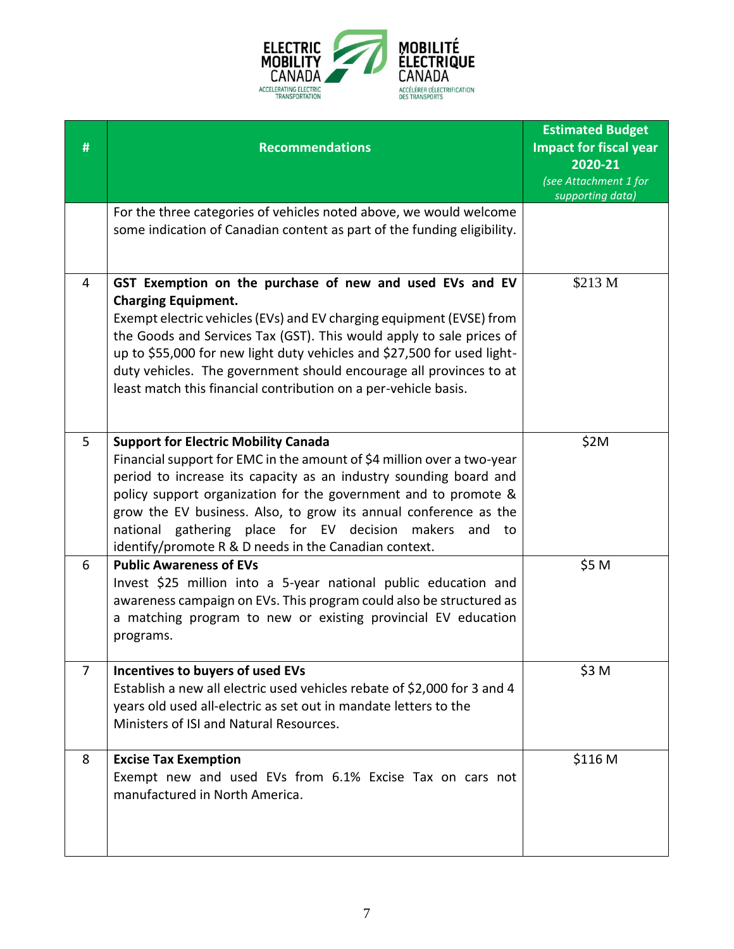

| # | <b>Recommendations</b>                                                                                                                                                                                                                                                                                                                                                                                                                                     | <b>Estimated Budget</b><br><b>Impact for fiscal year</b><br>2020-21<br>(see Attachment 1 for<br>supporting data) |
|---|------------------------------------------------------------------------------------------------------------------------------------------------------------------------------------------------------------------------------------------------------------------------------------------------------------------------------------------------------------------------------------------------------------------------------------------------------------|------------------------------------------------------------------------------------------------------------------|
|   | For the three categories of vehicles noted above, we would welcome<br>some indication of Canadian content as part of the funding eligibility.                                                                                                                                                                                                                                                                                                              |                                                                                                                  |
| 4 | GST Exemption on the purchase of new and used EVs and EV<br><b>Charging Equipment.</b><br>Exempt electric vehicles (EVs) and EV charging equipment (EVSE) from<br>the Goods and Services Tax (GST). This would apply to sale prices of<br>up to \$55,000 for new light duty vehicles and \$27,500 for used light-<br>duty vehicles. The government should encourage all provinces to at<br>least match this financial contribution on a per-vehicle basis. | \$213 M                                                                                                          |
| 5 | <b>Support for Electric Mobility Canada</b><br>Financial support for EMC in the amount of \$4 million over a two-year<br>period to increase its capacity as an industry sounding board and<br>policy support organization for the government and to promote &<br>grow the EV business. Also, to grow its annual conference as the<br>national gathering place for EV decision makers and<br>to<br>identify/promote R & D needs in the Canadian context.    | \$2M                                                                                                             |
| 6 | <b>Public Awareness of EVs</b><br>Invest \$25 million into a 5-year national public education and<br>awareness campaign on EVs. This program could also be structured as<br>a matching program to new or existing provincial EV education<br>programs.                                                                                                                                                                                                     | \$5 M                                                                                                            |
| 7 | Incentives to buyers of used EVs<br>Establish a new all electric used vehicles rebate of \$2,000 for 3 and 4<br>years old used all-electric as set out in mandate letters to the<br>Ministers of ISI and Natural Resources.                                                                                                                                                                                                                                | \$3 M                                                                                                            |
| 8 | <b>Excise Tax Exemption</b><br>Exempt new and used EVs from 6.1% Excise Tax on cars not<br>manufactured in North America.                                                                                                                                                                                                                                                                                                                                  | \$116 M                                                                                                          |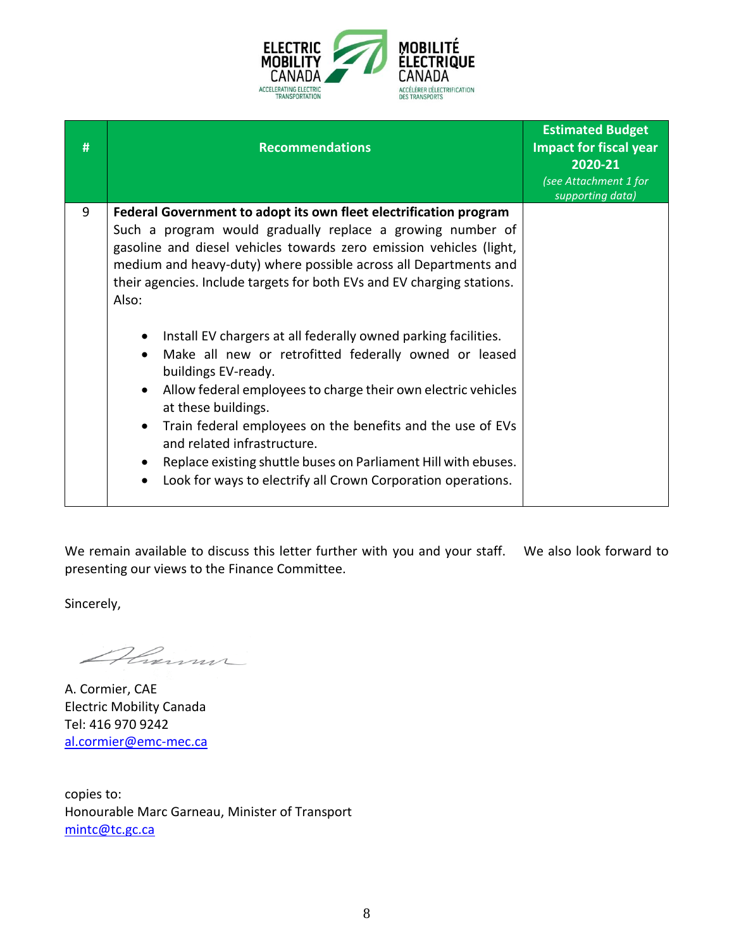

| # | <b>Recommendations</b>                                                                                                                                                                                                                                                                                                                                                                                                                                                                                                                                                                                                                                                                                                                                                                                                                                                                          | <b>Estimated Budget</b><br><b>Impact for fiscal year</b><br>2020-21<br>(see Attachment 1 for<br>supporting data) |
|---|-------------------------------------------------------------------------------------------------------------------------------------------------------------------------------------------------------------------------------------------------------------------------------------------------------------------------------------------------------------------------------------------------------------------------------------------------------------------------------------------------------------------------------------------------------------------------------------------------------------------------------------------------------------------------------------------------------------------------------------------------------------------------------------------------------------------------------------------------------------------------------------------------|------------------------------------------------------------------------------------------------------------------|
| 9 | Federal Government to adopt its own fleet electrification program<br>Such a program would gradually replace a growing number of<br>gasoline and diesel vehicles towards zero emission vehicles (light,<br>medium and heavy-duty) where possible across all Departments and<br>their agencies. Include targets for both EVs and EV charging stations.<br>Also:<br>Install EV chargers at all federally owned parking facilities.<br>$\bullet$<br>Make all new or retrofitted federally owned or leased<br>$\bullet$<br>buildings EV-ready.<br>Allow federal employees to charge their own electric vehicles<br>$\bullet$<br>at these buildings.<br>Train federal employees on the benefits and the use of EVs<br>$\bullet$<br>and related infrastructure.<br>Replace existing shuttle buses on Parliament Hill with ebuses.<br>٠<br>Look for ways to electrify all Crown Corporation operations. |                                                                                                                  |

We remain available to discuss this letter further with you and your staff. We also look forward to presenting our views to the Finance Committee.

Sincerely,

Almm

A. Cormier, CAE Electric Mobility Canada Tel: 416 970 9242 [al.cormier@emc-mec.ca](mailto:al.cormier@emc-mec.ca)

copies to: Honourable Marc Garneau, Minister of Transport [mintc@tc.gc.ca](mailto:mintc@tc.gc.ca)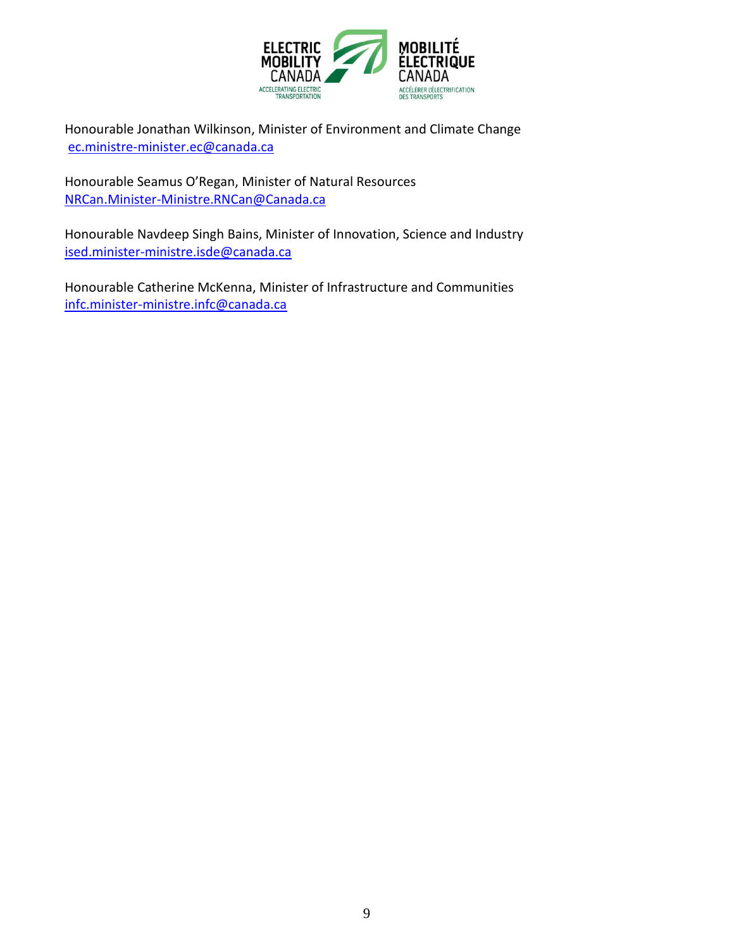

Honourable Jonathan Wilkinson, Minister of Environment and Climate Change [ec.ministre-minister.ec@canada.ca](mailto:ec.ministre-minister.ec@canada.ca)

Honourable Seamus O'Regan, Minister of Natural Resources [NRCan.Minister-Ministre.RNCan@Canada.ca](mailto:NRCan.Minister-Ministre.RNCan@Canada.ca)

Honourable Navdeep Singh Bains, Minister of Innovation, Science and Industry [ised.minister-ministre.isde@canada.ca](mailto:ised.minister-ministre.isde@canada.ca)

Honourable Catherine McKenna, Minister of Infrastructure and Communities [infc.minister-ministre.infc@canada.ca](mailto:infc.minister-ministre.infc@canada.ca)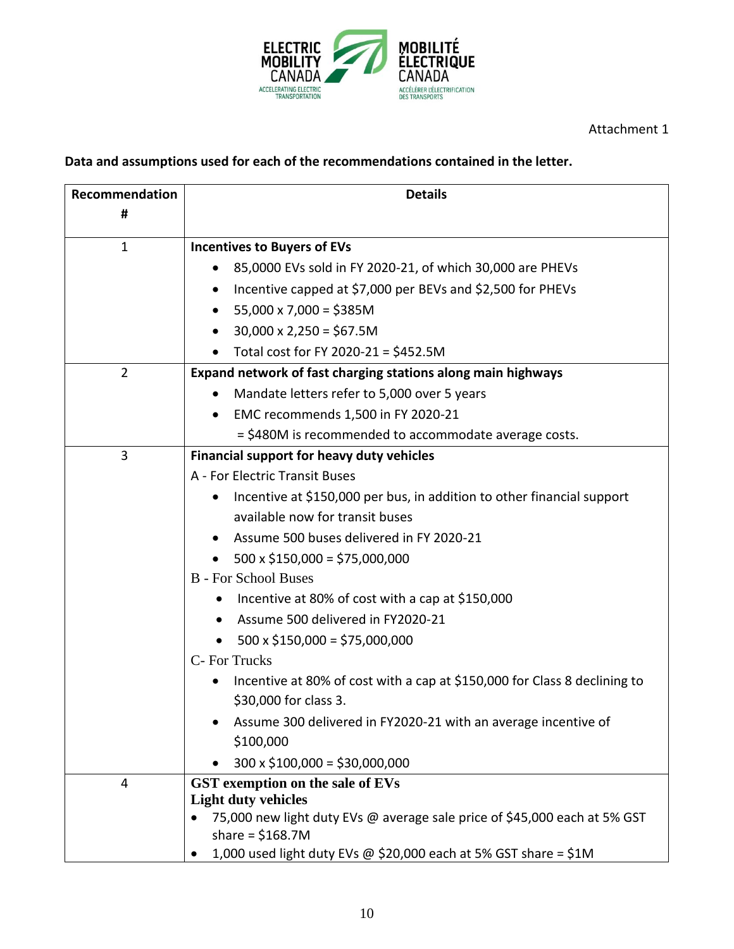

## Attachment 1

# **Data and assumptions used for each of the recommendations contained in the letter.**

| Recommendation | <b>Details</b>                                                                        |
|----------------|---------------------------------------------------------------------------------------|
| #              |                                                                                       |
| $\mathbf{1}$   | <b>Incentives to Buyers of EVs</b>                                                    |
|                | 85,0000 EVs sold in FY 2020-21, of which 30,000 are PHEVs                             |
|                | Incentive capped at \$7,000 per BEVs and \$2,500 for PHEVs                            |
|                | $55,000 \times 7,000 = $385M$                                                         |
|                | $30,000 \times 2,250 = $67.5M$                                                        |
|                | Total cost for FY 2020-21 = \$452.5M                                                  |
| $\overline{2}$ | Expand network of fast charging stations along main highways                          |
|                | Mandate letters refer to 5,000 over 5 years                                           |
|                | EMC recommends 1,500 in FY 2020-21                                                    |
|                | = \$480M is recommended to accommodate average costs.                                 |
| 3              | <b>Financial support for heavy duty vehicles</b>                                      |
|                | A - For Electric Transit Buses                                                        |
|                | Incentive at \$150,000 per bus, in addition to other financial support<br>$\bullet$   |
|                | available now for transit buses                                                       |
|                | Assume 500 buses delivered in FY 2020-21                                              |
|                | $500 \times $150,000 = $75,000,000$                                                   |
|                | <b>B</b> - For School Buses                                                           |
|                | Incentive at 80% of cost with a cap at \$150,000                                      |
|                | Assume 500 delivered in FY2020-21                                                     |
|                | $500 \times $150,000 = $75,000,000$                                                   |
|                | C- For Trucks                                                                         |
|                | Incentive at 80% of cost with a cap at \$150,000 for Class 8 declining to             |
|                | \$30,000 for class 3.                                                                 |
|                | Assume 300 delivered in FY2020-21 with an average incentive of                        |
|                | \$100,000                                                                             |
|                | $300 \times $100,000 = $30,000,000$                                                   |
| 4              | GST exemption on the sale of EVs                                                      |
|                | <b>Light duty vehicles</b>                                                            |
|                | 75,000 new light duty EVs @ average sale price of \$45,000 each at 5% GST             |
|                | share = $$168.7M$<br>1,000 used light duty EVs @ \$20,000 each at 5% GST share = \$1M |
|                |                                                                                       |